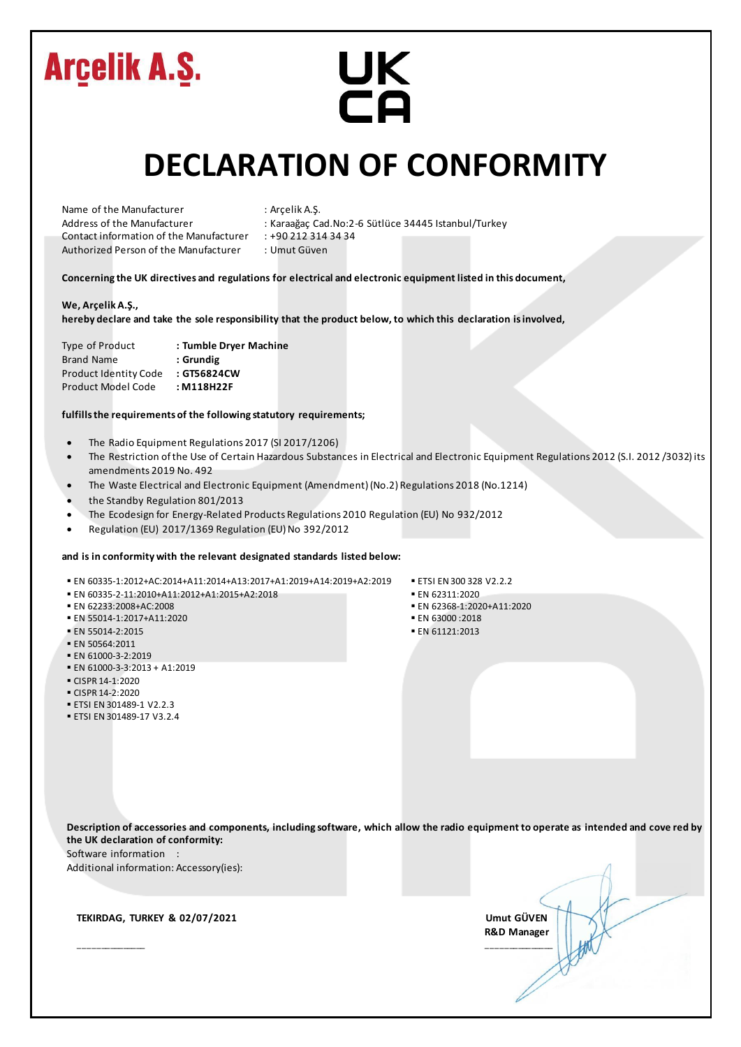# UK<br>CA

#### **DECLARATION OF CONFORMITY**

| Name of the Manufacturer                |                                       |  |  |  |  |  |
|-----------------------------------------|---------------------------------------|--|--|--|--|--|
| Address of the Manufacturer             |                                       |  |  |  |  |  |
| Contact information of the Manufacturer |                                       |  |  |  |  |  |
|                                         | Authorized Person of the Manufacturer |  |  |  |  |  |

: Arçelik A.Ş.

- : Karaağaç Cad.No:2-6 Sütlüce 34445 Istanbul/Turkey
- $: +902123143434$

: Umut Güven

**Concerning the UK directives and regulations for electrical and electronic equipment listed in this document,**

#### **We, Arçelik A.Ş.,**

**hereby declare and take the sole responsibility that the product below, to which this declaration is involved,**

| <b>Type of Product</b>       | : Tumble Dryer Machine |
|------------------------------|------------------------|
| <b>Brand Name</b>            | : Grundig              |
| <b>Product Identity Code</b> | : GT56824CW            |
| Product Model Code           | : M118H22F             |

#### **fulfills the requirements of the following statutory requirements;**

- The Radio Equipment Regulations 2017 (SI 2017/1206)
- The Restriction of the Use of Certain Hazardous Substances in Electrical and Electronic Equipment Regulations 2012 (S.I. 2012 /3032) its amendments 2019 No. 492
- The Waste Electrical and Electronic Equipment (Amendment) (No.2) Regulations 2018 (No.1214)
- the Standby Regulation 801/2013
- The Ecodesign for Energy-Related Products Regulations 2010 Regulation (EU) No 932/2012
- Regulation (EU) 2017/1369 Regulation (EU) No 392/2012

#### **and is in conformity with the relevant designated standards listed below:**

- EN 60335-1:2012+AC:2014+A11:2014+A13:2017+A1:2019+A14:2019+A2:2019 ETSI EN 300 328 V2.2.2<br>■ EN 60335-2-11:2010+A11:2012+A1:2015+A2:2018 EN 62311:2020
- $\blacksquare$  EN 60335-2-11:2010+A11:2012+A1:2015+A2:2018
- EN 62233:2008+AC:2008 EN 62368-1:2020+A11:2020
- $\blacksquare$  EN 55014-1:2017+A11:2020
- EN 55014-2:2015 EN 61121:2013
- EN 50564:2011
- EN 61000-3-2:2019
- $\blacksquare$  FN 61000-3-3:2013 + A1:2019
- CISPR 14-1:2020
- $\blacksquare$  CISPR 14-2:2020
- ETSI EN 301489-1 V2.2.3
- ETSI EN 301489-17 V3.2.4
- 
- 
- 
- 
- 

**Description of accessories and components, including software, which allow the radio equipment to operate as intended and cove red by the UK declaration of conformity:**

Software information :

Additional information: Accessory(ies):

 **TEKIRDAG, TURKEY & 02/07/2021 Umut GÜVEN**

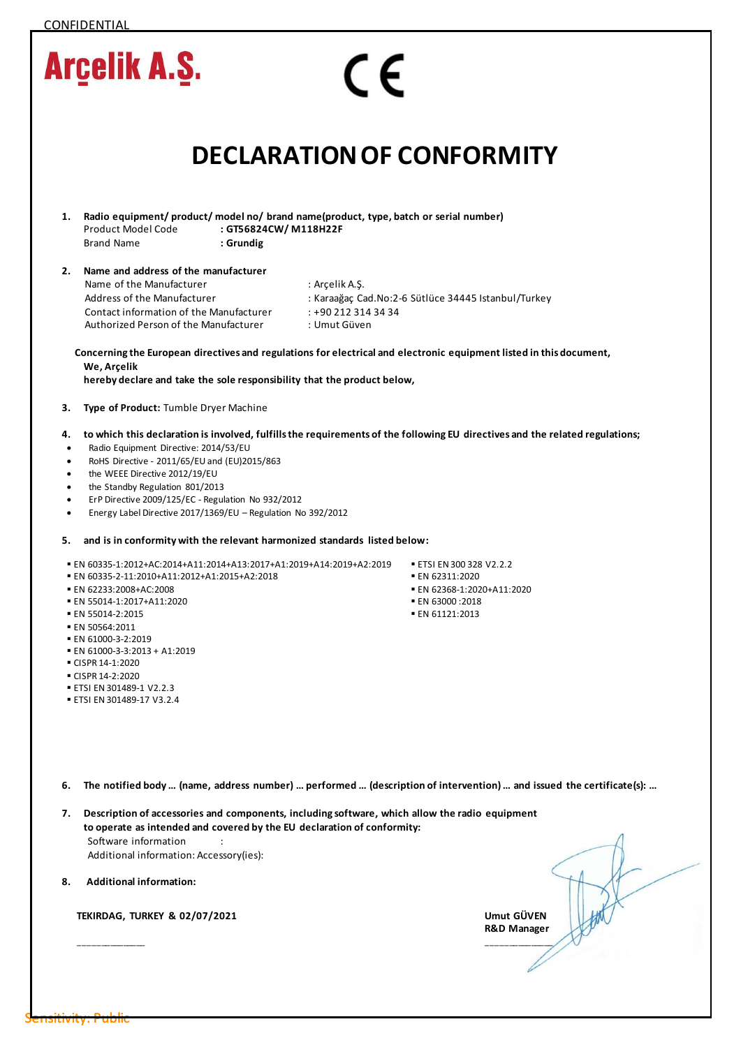| <b>Arcelik A.S.</b>                                                                                                                                                                                                                                                                                                                                                                                                                    | $\in \epsilon$                                        |                                                                                                                              |
|----------------------------------------------------------------------------------------------------------------------------------------------------------------------------------------------------------------------------------------------------------------------------------------------------------------------------------------------------------------------------------------------------------------------------------------|-------------------------------------------------------|------------------------------------------------------------------------------------------------------------------------------|
|                                                                                                                                                                                                                                                                                                                                                                                                                                        |                                                       | <b>DECLARATION OF CONFORMITY</b>                                                                                             |
| Radio equipment/ product/ model no/ brand name(product, type, batch or serial number)<br>1.<br>Product Model Code<br><b>Brand Name</b><br>: Grundig                                                                                                                                                                                                                                                                                    | : GT56824CW/M118H22F                                  |                                                                                                                              |
| Name and address of the manufacturer<br>2.<br>Name of the Manufacturer<br>Address of the Manufacturer<br>Contact information of the Manufacturer<br>Authorized Person of the Manufacturer                                                                                                                                                                                                                                              | : Arçelik A.Ş.<br>: +90 212 314 34 34<br>: Umut Güven | : Karaağaç Cad.No:2-6 Sütlüce 34445 Istanbul/Turkey                                                                          |
| We, Arcelik<br>hereby declare and take the sole responsibility that the product below,                                                                                                                                                                                                                                                                                                                                                 |                                                       | Concerning the European directives and regulations for electrical and electronic equipment listed in this document,          |
| Type of Product: Tumble Dryer Machine<br>з.                                                                                                                                                                                                                                                                                                                                                                                            |                                                       |                                                                                                                              |
| 4.<br>Radio Equipment Directive: 2014/53/EU<br>٠<br>RoHS Directive - 2011/65/EU and (EU)2015/863<br>$\bullet$<br>the WEEE Directive 2012/19/EU<br>$\bullet$<br>the Standby Regulation 801/2013<br>٠<br>ErP Directive 2009/125/EC - Regulation No 932/2012<br>$\bullet$<br>Energy Label Directive 2017/1369/EU - Regulation No 392/2012<br>$\bullet$<br>and is in conformity with the relevant harmonized standards listed below:<br>5. |                                                       | to which this declaration is involved, fulfills the requirements of the following EU directives and the related regulations; |
| EN 60335-1:2012+AC:2014+A11:2014+A13:2017+A1:2019+A14:2019+A2:2019<br>EN 60335-2-11:2010+A11:2012+A1:2015+A2:2018<br>■ EN 62233:2008+AC:2008<br>■ EN 55014-1:2017+A11:2020<br>■ EN 55014-2:2015<br>■ EN 50564:2011<br>EN 61000-3-2:2019<br>EN 61000-3-3:2013 + A1:2019<br>CISPR 14-1:2020<br>CISPR 14-2:2020<br>ETSI EN 301489-1 V2.2.3<br>ETSI EN 301489-17 V3.2.4                                                                    |                                                       | ■ ETSI EN 300 328 V2.2.2<br>■ EN 62311:2020<br>EN 62368-1:2020+A11:2020<br>■ EN 63000 :2018<br>■ EN 61121:2013               |
| 6.<br>Description of accessories and components, including software, which allow the radio equipment<br>7.<br>to operate as intended and covered by the EU declaration of conformity:                                                                                                                                                                                                                                                  |                                                       | The notified body  (name, address number)  performed  (description of intervention)  and issued the certificate(s):          |
| Software information<br>Additional information: Accessory(ies):                                                                                                                                                                                                                                                                                                                                                                        |                                                       |                                                                                                                              |
| <b>Additional information:</b><br>8.                                                                                                                                                                                                                                                                                                                                                                                                   |                                                       |                                                                                                                              |
| <b>TEKIRDAG, TURKEY &amp; 02/07/2021</b>                                                                                                                                                                                                                                                                                                                                                                                               |                                                       | Umut GÜVEN<br><b>R&amp;D Manager</b>                                                                                         |
|                                                                                                                                                                                                                                                                                                                                                                                                                                        |                                                       |                                                                                                                              |

| EIISILIVILV. PUL |  |  |  |  |  |
|------------------|--|--|--|--|--|
|                  |  |  |  |  |  |
|                  |  |  |  |  |  |

CONFIDENTIAL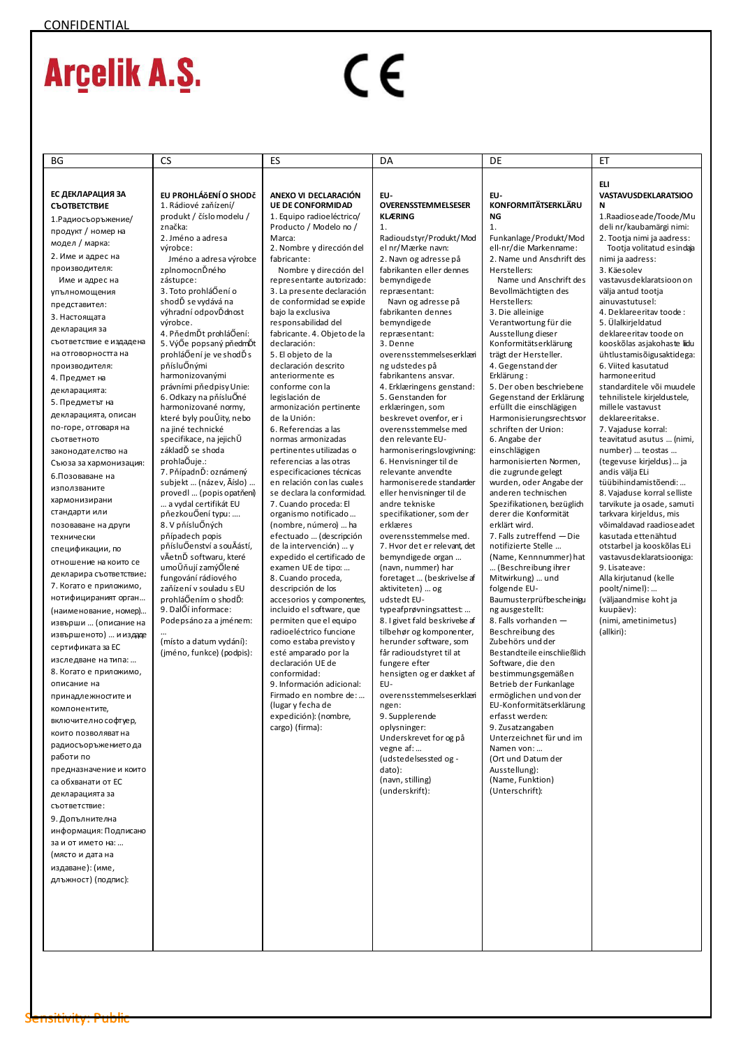| ΒG                                                 | <b>CS</b>                                            | ES                                                       | DA                                                    | DE                                                   | EТ                                                       |
|----------------------------------------------------|------------------------------------------------------|----------------------------------------------------------|-------------------------------------------------------|------------------------------------------------------|----------------------------------------------------------|
|                                                    |                                                      |                                                          |                                                       |                                                      | <b>ELI</b>                                               |
| ЕС ДЕКЛАРАЦИЯ ЗА<br>СЪОТВЕТСТВИЕ                   | EU PROHLÁŎENÍ O SHODČ<br>1. Rádiové zaňízení/        | ANEXO VI DECLARACIÓN<br><b>UE DE CONFORMIDAD</b>         | EU-<br>OVERENSSTEMMELSESER                            | EU-<br><b>KONFORMITÄTSERKLÄRU</b>                    | <b>VASTAVUSDEKLARATSIOO</b><br>N                         |
| 1. Радиосъоръжение/                                | produkt / číslo modelu /                             | 1. Equipo radioeléctrico/                                | <b>KLÆRING</b>                                        | <b>NG</b>                                            | 1.Raadioseade/Toode/Mu                                   |
| продукт / номер на                                 | značka:<br>2. Jméno a adresa                         | Producto / Modelo no /<br>Marca:                         | 1.<br>Radioudstyr/Produkt/Mod                         | 1.<br>Funkanlage/Produkt/Mod                         | deli nr/kaubamärgi nimi:<br>2. Tootja nimi ja aadress:   |
| модел / марка:                                     | výrobce:                                             | 2. Nombre y dirección del                                | el nr/Mærke navn:                                     | ell-nr/die Markenname:                               | Tootja volitatud esindaja                                |
| 2. Име и адрес на                                  | Jméno a adresa výrobce                               | fabricante:                                              | 2. Navn og adresse på                                 | 2. Name und Anschrift des                            | nimi ja aadress:                                         |
| производителя:                                     | zplnomocnĎného                                       | Nombre y dirección del                                   | fabrikanten eller dennes                              | Herstellers:                                         | 3. Käesolev                                              |
| Име и адрес на                                     | zástupce:<br>3. Toto prohláŐení o                    | representante autorizado:<br>3. La presente declaración  | bemyndigede<br>repræsentant:                          | Name und Anschrift des<br>Bevollmächtigten des       | vastavusdeklaratsioon on<br>välja antud tootja           |
| упълномощения                                      | shodĎ se vydává na                                   | de conformidad se expide                                 | Navn og adresse på                                    | Herstellers:                                         | ainuvastutusel:                                          |
| представител:<br>3. Настоящата                     | výhradní odpovĎdnost                                 | bajo la exclusiva                                        | fabrikanten dennes                                    | 3. Die alleinige                                     | 4. Deklareeritav toode:                                  |
| декларация за                                      | výrobce.                                             | responsabilidad del                                      | bemyndigede                                           | Verantwortung für die                                | 5. Ülalkirjeldatud                                       |
| съответствие е издадена                            | 4. PňedmĎt prohláŐení:<br>5. VýŐe popsaný pňedmĎt    | fabricante. 4. Objeto de la<br>declaración:              | repræsentant:<br>3. Denne                             | Ausstellung dieser<br>Konformitätserklärung          | deklareeritav toode on<br>kooskõlas asjakohaste liidu    |
| на отговорността на                                | prohláŐení je ve shodĎ s                             | 5. El objeto de la                                       | overensstemmelseserklæri                              | trägt der Hersteller.                                | ühtlustamisõigusaktidega:                                |
| производителя:                                     | pňísluŐnými                                          | declaración descrito                                     | ng udstedes på                                        | 4. Gegenstand der                                    | 6. Viited kasutatud                                      |
| 4. Предмет на                                      | harmonizovanými                                      | anteriormente es                                         | fabrikantens ansvar.                                  | Erklärung:                                           | harmoneeritud                                            |
| декларацията:                                      | právními pňedpisy Unie:<br>6. Odkazy na pňísluŐné    | conforme con la<br>legislación de                        | 4. Erklæringens genstand:<br>5. Genstanden for        | 5. Der oben beschriebene<br>Gegenstand der Erklärung | standarditele või muudele<br>tehnilistele kirjeldustele, |
| 5. Предметът на                                    | harmonizované normy,                                 | armonización pertinente                                  | erklæringen, som                                      | erfüllt die einschlägigen                            | millele vastavust                                        |
| декларацията, описан                               | které byly pouŬity, nebo                             | de la Unión:                                             | beskrevet ovenfor, er i                               | Harmonisierungsrechtsvor                             | deklareeritakse.                                         |
| по-горе, отговаря на                               | na jiné technické<br>specifikace, na jejichŬ         | 6. Referencias a las                                     | overensstemmelse med                                  | schriften der Union:                                 | 7. Vajaduse korral:<br>teavitatud asutus  (nimi,         |
| съответното<br>законодателство на                  | základĎ se shoda                                     | normas armonizadas<br>pertinentes utilizadas o           | den relevante EU-<br>harmoniseringslovgivning:        | 6. Angabe der<br>einschlägigen                       | number)  teostas                                         |
| Съюза за хармонизация:                             | prohlaÕuje.:                                         | referencias a las otras                                  | 6. Henvisninger til de                                | harmonisierten Normen,                               | (tegevuse kirjeldus) ja                                  |
| 6. Позоваване на                                   | 7. PňípadnĎ: oznámený                                | especificaciones técnicas                                | relevante anvendte                                    | die zugrunde gelegt                                  | andis välja ELi                                          |
| използваните                                       | subjekt  (název, Āíslo)<br>provedl  (popis opatňení) | en relación con las cuales<br>se declara la conformidad. | harmoniserede standarder                              | wurden, oder Angabe der                              | tüübihindamistõendi:<br>8. Vajaduse korral selliste      |
| хармонизирани                                      | a vydal certifikát EU                                | 7. Cuando proceda: El                                    | eller henvisninger til de<br>andre tekniske           | anderen technischen<br>Spezifikationen, bezüglich    | tarvikute ja osade, samuti                               |
| стандарти или                                      | pňezkouŐení typu:                                    | organismo notificado                                     | specifikationer, som der                              | derer die Konformität                                | tarkvara kirjeldus, mis                                  |
| позоваване на други                                | 8. V pňísluŐných                                     | (nombre, número)  ha                                     | erklæres                                              | erklärt wird.                                        | võimaldavad raadioseadet                                 |
| технически                                         | pňípadech popis<br>pňísluŐenství a souĀástí,         | efectuado  (descripción<br>de la intervención)  y        | overensstemmelse med.<br>7. Hvor det er relevant, det | 7. Falls zutreffend - Die<br>notifizierte Stelle     | kasutada ettenähtud<br>otstarbel ja kooskõlas ELi        |
| спецификации, по                                   | vĀetnĎ softwaru, které                               | expedido el certificado de                               | bemyndigede organ                                     | (Name, Kennnummer) hat                               | vastavusdeklaratsiooniga:                                |
| отношение на които се                              | umoŬňují zamýŐlené                                   | examen UE de tipo:                                       | (navn, nummer) har                                    | (Beschreibung ihrer                                  | 9. Lisateave:                                            |
| декларира съответствие.:<br>7. Когато е приложимо, | fungování rádiového                                  | 8. Cuando proceda,                                       | foretaget  (beskrivelse af                            | Mitwirkung)  und                                     | Alla kirjutanud (kelle                                   |
| нотифицираният орган                               | zaňízení v souladu s EU<br>prohláŐením o shodĎ:      | descripción de los<br>accesorios y componentes,          | aktiviteten)  og<br>udstedt EU-                       | folgende EU-<br>Baumusterprüfbescheinigu             | poolt/nimel):<br>(väljaandmise koht ja                   |
| (наименование, номер)                              | 9. DalŐí informace:                                  | incluido el software, que                                | typeafprøvningsattest                                 | ng ausgestellt:                                      | kuupäev):                                                |
| извърши  (описание на                              | Podepsáno za a jménem:                               | permiten que el equipo                                   | 8. I givet fald beskrivelse af                        | 8. Falls vorhanden -                                 | (nimi, ametinimetus)                                     |
| извършеното)  и издаде                             | (místo a datum vydání):                              | radioeléctrico funcione<br>como estaba previsto y        | tilbehør og komponenter,<br>herunder software, som    | Beschreibung des<br>Zubehörs und der                 | (allkiri):                                               |
| сертификата за ЕС                                  | (jméno, funkce) (podpis):                            | esté amparado por la                                     | får radioudstyret til at                              | Bestandteile einschließlich                          |                                                          |
| изследване на типа:                                |                                                      | declaración UE de                                        | fungere efter                                         | Software, die den                                    |                                                          |
| 8. Когато е приложимо,                             |                                                      | conformidad:                                             | hensigten og er dækket af                             | bestimmungsgemäßen                                   |                                                          |
| описание на                                        |                                                      | 9. Información adicional:<br>Firmado en nombre de:       | EU-<br>overensstemmelseserklæri                       | Betrieb der Funkanlage<br>ermöglichen und von der    |                                                          |
| принадлежностите и<br>компонентите,                |                                                      | (lugar y fecha de                                        | ngen:                                                 | EU-Konformitätserklärung                             |                                                          |
| включително софтуер,                               |                                                      | expedición): (nombre,                                    | 9. Supplerende                                        | erfasst werden:                                      |                                                          |
| които позволяват на                                |                                                      | cargo) (firma):                                          | oplysninger:                                          | 9. Zusatzangaben                                     |                                                          |
| радиосъоръжението да                               |                                                      |                                                          | Underskrevet for og på<br>vegne af:                   | Unterzeichnet für und im<br>Namen von:               |                                                          |
| работи по                                          |                                                      |                                                          | (udstedelsessted og -                                 | (Ort und Datum der                                   |                                                          |
| предназначение и които                             |                                                      |                                                          | dato):                                                | Ausstellung):                                        |                                                          |
| са обхванати от ЕС                                 |                                                      |                                                          | (navn, stilling)<br>(underskrift):                    | (Name, Funktion)<br>(Unterschrift):                  |                                                          |
| декларацията за                                    |                                                      |                                                          |                                                       |                                                      |                                                          |
| съответствие:<br>9. Допълнителна                   |                                                      |                                                          |                                                       |                                                      |                                                          |
| информация: Подписано                              |                                                      |                                                          |                                                       |                                                      |                                                          |
| за и от името на:                                  |                                                      |                                                          |                                                       |                                                      |                                                          |
| (място и дата на                                   |                                                      |                                                          |                                                       |                                                      |                                                          |
| издаване): (име,                                   |                                                      |                                                          |                                                       |                                                      |                                                          |
| длъжност) (подпис):                                |                                                      |                                                          |                                                       |                                                      |                                                          |
|                                                    |                                                      |                                                          |                                                       |                                                      |                                                          |
|                                                    |                                                      |                                                          |                                                       |                                                      |                                                          |
|                                                    |                                                      |                                                          |                                                       |                                                      |                                                          |
|                                                    |                                                      |                                                          |                                                       |                                                      |                                                          |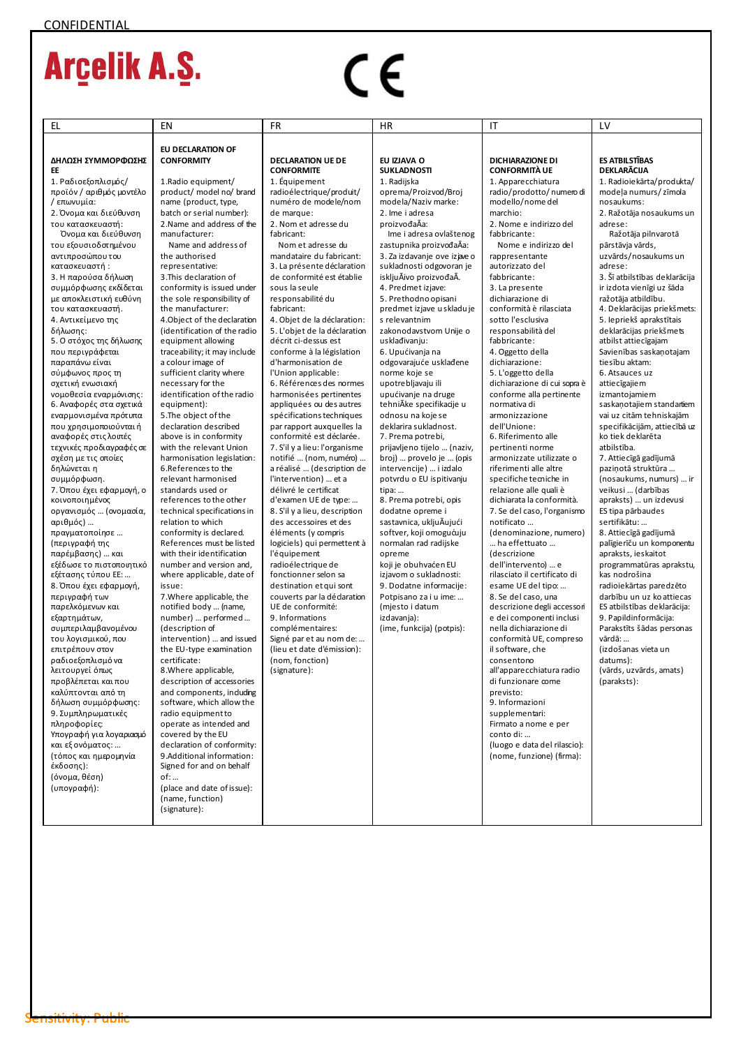| EL                                                                                                                                                                                                                                                                                                                                                                                                                                                                                                                                                                                                                                                                                                                                                                                                                                                                                                                                                                                                 | EN                                                                                                                                                                                                                                                                                                                                                                                                                                                                                                                                                                                                                                                                                                                                                                                                                                                                                                                                                                                                                                                                                                                                                                                                             | <b>FR</b>                                                                                                                                                                                                                                                                                                                                                                                                                                                                                                                                                                                                                                                                                                                                                                                                                                                                                                 | <b>HR</b>                                                                                                                                                                                                                                                                                                                                                                                                                                                                                                                                                                                                                                                                                                  | IT                                                                                                                                                                                                                                                                                                                                                                                                                                                                                                                                                                                                                                                                                                                                                                                                                                                                                                                                                                                       | LV                                                                                                                                                                                                                                                                                                                                                                                                                                                                                                                                                                                                                                                                                                                                                                                                                                     |
|----------------------------------------------------------------------------------------------------------------------------------------------------------------------------------------------------------------------------------------------------------------------------------------------------------------------------------------------------------------------------------------------------------------------------------------------------------------------------------------------------------------------------------------------------------------------------------------------------------------------------------------------------------------------------------------------------------------------------------------------------------------------------------------------------------------------------------------------------------------------------------------------------------------------------------------------------------------------------------------------------|----------------------------------------------------------------------------------------------------------------------------------------------------------------------------------------------------------------------------------------------------------------------------------------------------------------------------------------------------------------------------------------------------------------------------------------------------------------------------------------------------------------------------------------------------------------------------------------------------------------------------------------------------------------------------------------------------------------------------------------------------------------------------------------------------------------------------------------------------------------------------------------------------------------------------------------------------------------------------------------------------------------------------------------------------------------------------------------------------------------------------------------------------------------------------------------------------------------|-----------------------------------------------------------------------------------------------------------------------------------------------------------------------------------------------------------------------------------------------------------------------------------------------------------------------------------------------------------------------------------------------------------------------------------------------------------------------------------------------------------------------------------------------------------------------------------------------------------------------------------------------------------------------------------------------------------------------------------------------------------------------------------------------------------------------------------------------------------------------------------------------------------|------------------------------------------------------------------------------------------------------------------------------------------------------------------------------------------------------------------------------------------------------------------------------------------------------------------------------------------------------------------------------------------------------------------------------------------------------------------------------------------------------------------------------------------------------------------------------------------------------------------------------------------------------------------------------------------------------------|------------------------------------------------------------------------------------------------------------------------------------------------------------------------------------------------------------------------------------------------------------------------------------------------------------------------------------------------------------------------------------------------------------------------------------------------------------------------------------------------------------------------------------------------------------------------------------------------------------------------------------------------------------------------------------------------------------------------------------------------------------------------------------------------------------------------------------------------------------------------------------------------------------------------------------------------------------------------------------------|----------------------------------------------------------------------------------------------------------------------------------------------------------------------------------------------------------------------------------------------------------------------------------------------------------------------------------------------------------------------------------------------------------------------------------------------------------------------------------------------------------------------------------------------------------------------------------------------------------------------------------------------------------------------------------------------------------------------------------------------------------------------------------------------------------------------------------------|
| ΔΗΛΩΣΗ ΣΥΜΜΟΡΦΩΣΗΣ<br>EE<br>1. Ραδιοεξοπλισμός/<br>προϊόν / αριθμός μοντέλο<br>/ επωνυμία:<br>2. Όνομα και διεύθυνση<br>του κατασκευαστή:<br>Όνομα και διεύθυνση<br>του εξουσιοδοτημένου<br>αντιπροσώπου του<br>κατασκευαστή:<br>3. Η παρούσα δήλωση<br>συμμόρφωσης εκδίδεται<br>με αποκλειστική ευθύνη                                                                                                                                                                                                                                                                                                                                                                                                                                                                                                                                                                                                                                                                                            | <b>EU DECLARATION OF</b><br><b>CONFORMITY</b><br>1. Radio equipment/<br>product/ model no/ brand<br>name (product, type,<br>batch or serial number):<br>2. Name and address of the<br>manufacturer:<br>Name and address of<br>the authorised<br>representative:<br>3. This declaration of<br>conformity is issued under<br>the sole responsibility of<br>the manufacturer:                                                                                                                                                                                                                                                                                                                                                                                                                                                                                                                                                                                                                                                                                                                                                                                                                                     | <b>DECLARATION UE DE</b><br><b>CONFORMITE</b><br>1. Équipement<br>radioélectrique/produit/<br>numéro de modele/nom<br>de marque:<br>2. Nom et adresse du<br>fabricant:<br>Nom et adresse du<br>mandataire du fabricant:<br>3. La présente déclaration<br>de conformité est établie<br>sous la seule<br>responsabilité du<br>fabricant:                                                                                                                                                                                                                                                                                                                                                                                                                                                                                                                                                                    | EU IZJAVA O<br><b>SUKLADNOSTI</b><br>1. Radijska<br>oprema/Proizvod/Broj<br>modela/Naziv marke:<br>2. Ime i adresa<br>proizvođaĀa:<br>Ime i adresa ovlaštenog<br>zastupnika proizvođaAa:<br>3. Za izdavanje ove izjave o<br>sukladnosti odgovoran je<br>iskljuĀivo proizvođaĀ.<br>4. Predmet izjave:<br>5. Prethodno opisani<br>predmet izjave u skladu je                                                                                                                                                                                                                                                                                                                                                 | <b>DICHIARAZIONE DI</b><br><b>CONFORMITÀ UE</b><br>1. Apparecchiatura<br>radio/prodotto/numero di<br>modello/nome del<br>marchio:<br>2. Nome e indirizzo del<br>fabbricante:<br>Nome e indirizzo del<br>rappresentante<br>autorizzato del<br>fabbricante:<br>3. La presente<br>dichiarazione di<br>conformità è rilasciata                                                                                                                                                                                                                                                                                                                                                                                                                                                                                                                                                                                                                                                               | <b>ES ATBILSTIBAS</b><br>DEKLARĀCIJA<br>1. Radioiekārta/produkta/<br>modeļa numurs/zīmola<br>nosaukums:<br>2. Ražotāja nosaukums un<br>adrese:<br>Ražotāja pilnvarotā<br>pārstāvja vārds,<br>uzvārds/nosaukums un<br>adrese:<br>3. Šī atbilstības deklarācija<br>ir izdota vienīgi uz šāda<br>ražotāja atbildību.<br>4. Deklarācijas priekšmets:                                                                                                                                                                                                                                                                                                                                                                                                                                                                                       |
| του κατασκευαστή.<br>4. Αντικείμενο της<br>δήλωσης:<br>5. Ο στόχος της δήλωσης<br>που περιγράφεται<br>παραπάνω είναι<br>σύμφωνος προς τη<br>σχετική ενωσιακή<br>νομοθεσία εναρμόνισης:<br>6. Αναφορές στα σχετικά<br>εναρμονισμένα πρότυπα<br>που χρησιμοποιούνται ή<br>αναφορές στις λοιπές<br>τεχνικές προδιαγραφές σε<br>σχέση με τις οποίες<br>δηλώνεται η<br>συμμόρφωση.<br>7. Όπου έχει εφαρμογή, ο<br>κοινοποιημένος<br>οργανισμός  (ονομασία,<br>αριθμός)<br>πραγματοποίησε<br>(περιγραφή της<br>παρέμβασης)  και<br>εξέδωσε το πιστοποιητικό<br>εξέτασης τύπου ΕΕ:<br>8. Όπου έχει εφαρμογή,<br>περιγραφή των<br>παρελκόμενων και<br>εξαρτημάτων,<br>συμπεριλαμβανομένου<br>του λογισμικού, που<br>επιτρέπουν στον<br>ραδιοεξοπλισμό να<br>λειτουργεί όπως<br>προβλέπεται και που<br>καλύπτονται από τη<br>δήλωση συμμόρφωσης:<br>9. Συμπληρωματικές<br>πληροφορίες:<br>Υπογραφή για λογαριασμό<br>και εξ ονόματος:<br>(τόπος και ημερομηνία<br>έκδοσης):<br>(όνομα, θέση)<br>(υπογραφή): | 4. Object of the declaration<br>(identification of the radio<br>equipment allowing<br>trace ability; it may include<br>a colour image of<br>sufficient clarity where<br>necessary for the<br>identification of the radio<br>equipment):<br>5. The object of the<br>declaration described<br>above is in conformity<br>with the relevant Union<br>harmonisation legislation:<br>6.References to the<br>relevant harmonised<br>standards used or<br>references to the other<br>technical specifications in<br>relation to which<br>conformity is declared.<br>References must be listed<br>with their identification<br>number and version and,<br>where applicable, date of<br>issue:<br>7. Where applicable, the<br>notified body  (name,<br>number)  performed<br>(description of<br>intervention)  and issued<br>the EU-type examination<br>certificate:<br>8. Where applicable,<br>description of accessories<br>and components, induding<br>software, which allow the<br>radio equipmentto<br>operate as intended and<br>covered by the EU<br>declaration of conformity:<br>9.Additional information:<br>Signed for and on behalf<br>of:<br>(place and date of issue):<br>(name, function)<br>(signature): | 4. Objet de la déclaration:<br>5. L'objet de la déclaration<br>décrit ci-dessus est<br>conforme à la législation<br>d'harmonisation de<br>l'Union applicable:<br>6. Références des normes<br>harmonisées pertinentes<br>appliquées ou des autres<br>spécifications techniques<br>par rapport auxquelles la<br>conformité est déclarée.<br>7. S'il y a lieu: l'organisme<br>notifié  (nom, numéro)<br>a réalisé  (description de<br>l'intervention)  et a<br>délivré le certificat<br>d'examen UE de type:<br>8. S'il y a lieu, description<br>des accessoires et des<br>éléments (y compris<br>logiciels) qui permettent à<br>l'équipement<br>radioélectrique de<br>fonctionner selon sa<br>destination et qui sont<br>couverts par la dédaration<br>UE de conformité:<br>9. Informations<br>complémentaires:<br>Signé par et au nom de:<br>(lieu et date d'émission):<br>(nom, fonction)<br>(signature): | s relevantnim<br>zakonodavstvom Unije o<br>usklađivanju:<br>6. Upućivanja na<br>odgovarajuće usklađene<br>norme koje se<br>upotrebljavaju ili<br>upućivanje na druge<br>tehniAke specifikacije u<br>odnosu na koje se<br>deklarira sukladnost.<br>7. Prema potrebi,<br>prijavljeno tijelo  (naziv,<br>broj)  provelo je  (opis<br>intervencije)  i izdalo<br>potvrdu o EU ispitivanju<br>tipa:<br>8. Prema potrebi, opis<br>dodatne opreme i<br>sastavnica, ukljuĀujući<br>softver, koji omogućuju<br>normalan rad radijske<br>opreme<br>koji je obuhvaćen EU<br>izjavom o sukladnosti:<br>9. Dodatne informacije:<br>Potpisano za i u ime:<br>(mjesto i datum<br>izdavanja):<br>(ime, funkcija) (potpis): | sotto l'esclusiva<br>responsabilità del<br>fabbricante:<br>4. Oggetto della<br>dichiarazione:<br>5. L'oggetto della<br>dichiarazione di cui sopra è<br>conforme alla pertinente<br>normativa di<br>armonizzazione<br>dell'Unione:<br>6. Riferimento alle<br>pertinenti norme<br>armonizzate utilizzate o<br>riferimenti alle altre<br>specifiche temiche in<br>relazione alle quali è<br>dichiarata la conformità.<br>7. Se del caso, l'organismo<br>notificato<br>(denominazione, numero)<br>ha effettuato<br>(descrizione<br>dell'intervento)  e<br>rilasciato il certificato di<br>esame UE del tipo:<br>8. Se del caso, una<br>descrizione degli accessori<br>e dei componenti inclusi<br>nella dichiarazione di<br>conformità UE, compreso<br>il software, che<br>consentono<br>all'apparecchiatura radio<br>di funzionare come<br>previsto:<br>9. Informazioni<br>supplementari:<br>Firmato a nome e per<br>conto di:<br>(luogo e data del rilascio):<br>(nome, funzione) (firma): | 5. lepriekš aprakstītais<br>deklarācijas priekšmets<br>atbilst attiecīgajam<br>Savienības saskaņotajam<br>tiesību aktam:<br>6. Atsauces uz<br>attiecīgajiem<br>izmantojamiem<br>saskaņotajiem standartiem<br>vai uz citām tehniskajām<br>specifikācijām, attiecībā uz<br>ko tiek deklarēta<br>atbilstība.<br>7. Attiecīgā gadījumā<br>paziņotā struktūra<br>(nosaukums, numurs)  ir<br>veikusi  (darbības<br>apraksts)  un izdevusi<br>ES tipa pārbaudes<br>sertifikātu:<br>8. Attiecīgā gadījumā<br>palīgierīču un komponentu<br>apraksts, ieskaitot<br>programmatūras aprakstu,<br>kas nodrošina<br>radioiekārtas paredzēto<br>darbību un uz ko attiecas<br>ES atbilstības deklarācija:<br>9. Papildinformācija:<br>Parakstīts šādas personas<br>vārdā:<br>(izdošanas vieta un<br>datums):<br>(vārds, uzvārds, amats)<br>(paraksts): |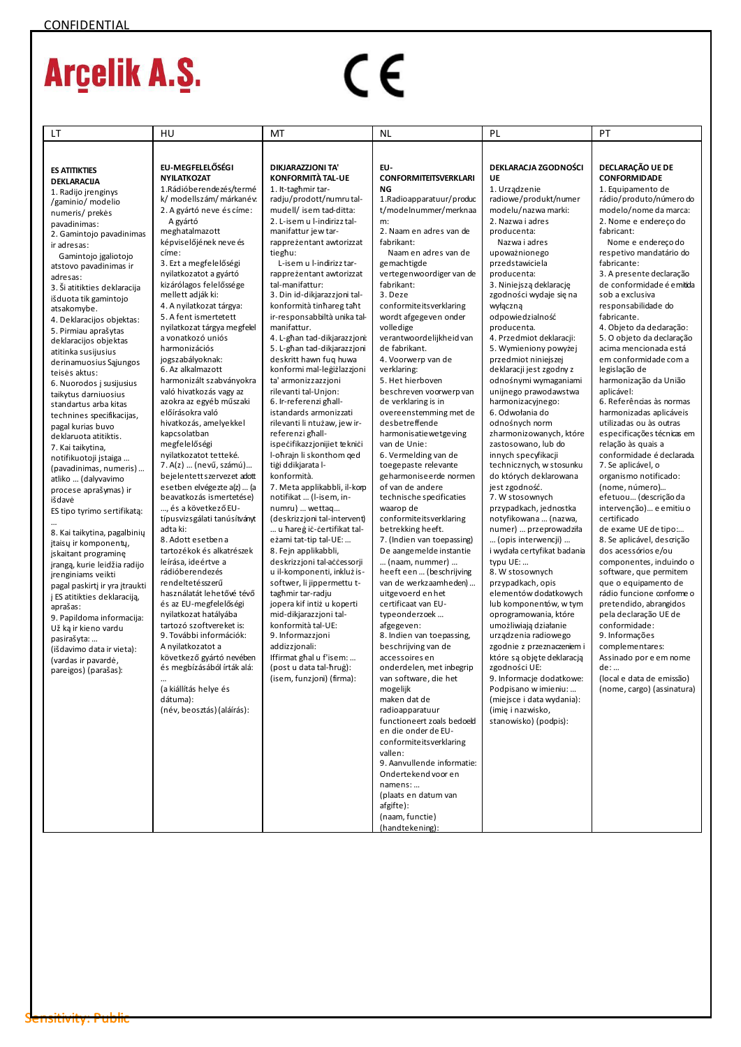| LT                                                | HU                                                    | МT                                                 | NL                                                 | PL                                                 | PT                                                   |
|---------------------------------------------------|-------------------------------------------------------|----------------------------------------------------|----------------------------------------------------|----------------------------------------------------|------------------------------------------------------|
|                                                   |                                                       |                                                    |                                                    |                                                    |                                                      |
|                                                   |                                                       |                                                    |                                                    |                                                    |                                                      |
| <b>ES ATITIKTIES</b>                              | EU-MEGFELELŐSÉGI                                      | <b>DIKJARAZZJONI TA'</b>                           | EU-                                                | DEKLARACJA ZGODNOŚCI                               | DECLARAÇÃO UE DE                                     |
| <b>DEKLARACUA</b>                                 | <b>NYILATKOZAT</b>                                    | <b>KONFORMITÀ TAL-UE</b>                           | <b>CONFORMITEITSVERKLARI</b>                       | <b>UE</b>                                          | <b>CONFORMIDADE</b>                                  |
| 1. Radijo jrenginys                               | 1. Rádióberendezés/termé                              | 1. It-taghmir tar-                                 | ΝG                                                 | 1. Urządzenie<br>radiowe/produkt/numer             | 1. Equipamento de<br>rádio/produto/número do         |
| /gaminio/ modelio                                 | k/ modellszám/ márkanév:<br>2. A gyártó neve és címe: | radju/prodott/numrutal-<br>mudell/ isem tad-ditta: | 1. Radioapparatuur/produc<br>t/modelnummer/merknaa | modelu/nazwa marki:                                | modelo/nome da marca:                                |
| numeris/prekės                                    | A gyártó                                              | 2. L-isem u l-indirizz tal-                        | m:                                                 | 2. Nazwa i adres                                   | 2. Nome e endereço do                                |
| pavadinimas:<br>2. Gamintojo pavadinimas          | meghatalmazott                                        | manifattur jew tar-                                | 2. Naam en adres van de                            | producenta:                                        | fabricant:                                           |
| ir adresas:                                       | képviselőjének neve és                                | rappreżentant awtorizzat                           | fabrikant:                                         | Nazwa i adres                                      | Nome e endereço do                                   |
| Gamintojo įgaliotojo                              | címe:                                                 | tieghu:                                            | Naam en adres van de                               | upoważnionego                                      | respetivo mandatário do                              |
| atstovo pavadinimas ir                            | 3. Ezt a megfelelőségi                                | L-isem u l-indirizz tar-                           | gemachtigde                                        | przedstawiciela                                    | fabricante:                                          |
| adresas:                                          | nyilatkozatot a gyártó                                | rappreżentant awtorizzat                           | vertegenwoordiger van de                           | producenta:                                        | 3. A presente declaração                             |
| 3. Ši atitikties deklaracija                      | kizárólagos felelőssége                               | tal-manifattur:                                    | fabrikant:                                         | 3. Niniejszą deklarację                            | de conformidade é emitida                            |
| išduota tik gamintojo                             | mellett adják ki:                                     | 3. Din id-dikjarazzjoni tal-                       | 3. Deze                                            | zgodności wydaje się na                            | sob a exclusiva                                      |
| atsakomybe.                                       | 4. A nyilatkozat tárgya:                              | konformità tinhareg taht                           | conformiteitsverklaring                            | wyłączną                                           | responsabilidade do                                  |
| 4. Deklaracijos objektas:                         | 5. A fent ismertetett                                 | ir-responsabbiltà unika tal-                       | wordt afgegeven onder                              | odpowiedzialność                                   | fabricante.                                          |
| 5. Pirmiau aprašytas                              | nyilatkozat tárgya megfelel<br>a vonatkozó uniós      | manifattur.<br>4. L-ghan tad-dikjarazzjoni:        | volledige<br>verantwoordelijkheid van              | producenta.<br>4. Przedmiot deklaracji:            | 4. Objeto da dedaração:<br>5. O objeto da declaração |
| deklaracijos objektas                             | harmonizációs                                         | 5. L-ghan tad-dikjarazzjoni                        | de fabrikant.                                      | 5. Wymieniony powyżej                              | acima mencionada está                                |
| atitinka susijusius                               | jogszabályoknak:                                      | deskritt hawn fug huwa                             | 4. Voorwerp van de                                 | przedmiot niniejszej                               | em conformidade com a                                |
| derinamuosius Sąjungos<br>teisės aktus:           | 6. Az alkalmazott                                     | konformi mal-legiżlazzioni                         | verklaring:                                        | deklaracji jest zgodny z                           | legislação de                                        |
| 6. Nuorodos į susijusius                          | harmonizált szabványokra                              | ta' armonizzazzjoni                                | 5. Het hierboven                                   | odnośnymi wymaganiami                              | harmonização da União                                |
| taikytus darniuosius                              | való hivatkozás vagy az                               | rilevanti tal-Unjon:                               | beschreven voorwerp van                            | unijnego prawodawstwa                              | aplicável:                                           |
| standartus arba kitas                             | azokra az egyéb műszaki                               | 6. Ir-referenzi ghall-                             | de verklaring is in                                | harmonizacyjnego:                                  | 6. Referências às normas                             |
| technines specifikacijas,                         | előírásokra való                                      | istandards armonizzati                             | overeenstemming met de                             | 6. Odwołania do                                    | harmonizadas aplicáveis                              |
| pagal kurias buvo                                 | hivatkozás, amelyekkel                                | rilevanti li ntużaw, jew ir-                       | desbetreffende                                     | odnośnych norm                                     | utilizadas ou às outras                              |
| deklaruota atitiktis.                             | kapcsolatban                                          | referenzi ghall-                                   | harmonisatiewetgeving                              | zharmonizowanych, które                            | especificações técnicas em                           |
| 7. Kai taikytina,                                 | megfelelőségi                                         | ispecifikazzjonijiet teknici                       | van de Unie:                                       | zastosowano, lub do                                | relação às quais a                                   |
| notifikuotoji įstaiga                             | nyilatkozatot tetteké.<br>7. A(z)  (nevű, számú)      | I-oħrajn li skonthom ged<br>tiģi ddikjarata I-     | 6. Vermelding van de                               | innych specyfikacji                                | conformidade é declarada.                            |
| (pavadinimas, numeris)                            | bejelentett szervezet adott                           | konformità.                                        | toegepaste relevante<br>geharmoniseerde normen     | technicznych, w stosunku<br>do których deklarowana | 7. Se aplicável, o<br>organismo notificado:          |
| atliko  (dalyvavimo                               | esetben elvégezte a(z)  (a                            | 7. Meta applikabbli, il-korp                       | of van de andere                                   | jest zgodność.                                     | (nome, número)                                       |
| procese aprašymas) ir<br>išdavė                   | beavatkozás ismertetése)                              | notifikat  (I-isem, in-                            | technische specificaties                           | 7. W stosownych                                    | efetuou (descrição da                                |
| ES tipo tyrimo sertifikatą:                       | , és a következő EU-                                  | numru)  wettaq                                     | waarop de                                          | przypadkach, jednostka                             | intervenção) e emitiu o                              |
|                                                   | típusvizsgálati tanúsítványt                          | (deskrizzjoni tal-intervent)                       | conformiteitsverklaring                            | notyfikowana  (nazwa,                              | certificado                                          |
| 8. Kai taikytina, pagalbinių                      | adta ki:                                              | u hareg ic-certifikat tal-                         | betrekking heeft.                                  | numer)  przeprowadziła                             | de exame UE de tipo:                                 |
| įtaisų ir komponentų,                             | 8. Adott esetbena                                     | eżami tat-tip tal-UE:                              | 7. (Indien van toepassing)                         | (opis interwencji)                                 | 8. Se aplicável, descrição                           |
| įskaitant programinę                              | tartozékok és alkatrészek                             | 8. Fejn applikabbli,                               | De aangemelde instantie                            | i wydała certyfikat badania                        | dos acessórios e/ou                                  |
| jrangą, kurie leidžia radijo                      | leírása, ideértve a                                   | deskrizzjoni tal-accessorji                        | (naam, nummer)                                     | typu UE:                                           | componentes, induindo o                              |
| jrenginiams veikti                                | rádióberendezés                                       | u il-komponenti, inkluż is-                        | heeft een  (beschrijving                           | 8. W stosownych                                    | software, que permitem                               |
| pagal paskirtį ir yra įtraukti                    | rendeltetésszerű<br>használatát lehetővé tévő         | softwer, li jippermettu t-<br>tagħmir tar-radju    | van de werkzaamheden)<br>uitgevoerd en het         | przypadkach, opis                                  | que o equipamento de<br>rádio funcione conforme o    |
| į ES atitikties deklaraciją,                      | és az EU-megfelelőségi                                | jopera kif intiż u koperti                         | certificaat van EU-                                | elementów dodatkowych<br>lub komponentów, w tym    | pretendido, abrangidos                               |
| aprašas:                                          | nyilatkozat hatályába                                 | mid-dikjarazzjoni tal-                             | typeonderzoek                                      | oprogramowania, które                              | pela declaração UE de                                |
| 9. Papildoma informacija:<br>Už ką ir kieno vardu | tartozó szoftvereket is:                              | konformità tal-UE:                                 | afgegeven:                                         | umożliwiają działanie                              | conformidade:                                        |
| pasirašyta:                                       | 9. További információk:                               | 9. Informazzjoni                                   | 8. Indien van toepassing,                          | urządzenia radiowego                               | 9. Informações                                       |
| (išdavimo data ir vieta):                         | A nyilatkozatot a                                     | addizzjonali:                                      | beschrijving van de                                | zgodnie z przeznaczeniem i                         | complementares:                                      |
| (vardas ir pavardė,                               | következő gyártó nevében                              | Iffirmat ghal u f'isem:                            | accessoires en                                     | które są objęte deklaracją                         | Assinado por e em nome                               |
| pareigos) (parašas):                              | és megbízásából írták alá:                            | (post u data tal-ħruġ):                            | onderdelen, met inbegrip                           | zgodności UE:                                      | de:                                                  |
|                                                   |                                                       | (isem, funzjoni) (firma):                          | van software, die het                              | 9. Informacje dodatkowe:                           | (local e data de emissão)                            |
|                                                   | (a kiállítás helye és                                 |                                                    | mogelijk                                           | Podpisano w imieniu:                               | (nome, cargo) (assinatura)                           |
|                                                   | dátuma):                                              |                                                    | maken dat de                                       | (miejsce i data wydania):                          |                                                      |
|                                                   | (név, beosztás) (aláírás):                            |                                                    | radioapparatuur<br>functioneert zoals bedoeld      | (imię i nazwisko,<br>stanowisko) (podpis):         |                                                      |
|                                                   |                                                       |                                                    | en die onder de EU-                                |                                                    |                                                      |
|                                                   |                                                       |                                                    | conformiteitsverklaring                            |                                                    |                                                      |
|                                                   |                                                       |                                                    | vallen:                                            |                                                    |                                                      |
|                                                   |                                                       |                                                    | 9. Aanvullende informatie:                         |                                                    |                                                      |
|                                                   |                                                       |                                                    | Ondertekend voor en                                |                                                    |                                                      |
|                                                   |                                                       |                                                    | namens:                                            |                                                    |                                                      |
|                                                   |                                                       |                                                    | (plaats en datum van                               |                                                    |                                                      |
|                                                   |                                                       |                                                    | afgifte):                                          |                                                    |                                                      |
|                                                   |                                                       |                                                    | (naam, functie)                                    |                                                    |                                                      |
|                                                   |                                                       |                                                    | (handtekening):                                    |                                                    |                                                      |